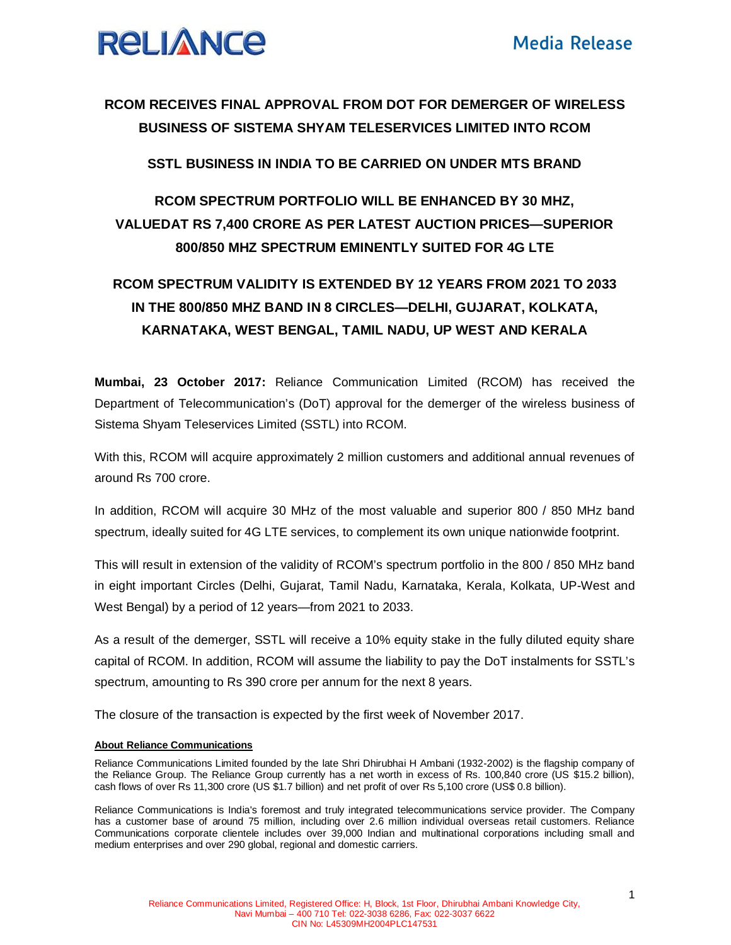

### **RCOM RECEIVES FINAL APPROVAL FROM DOT FOR DEMERGER OF WIRELESS BUSINESS OF SISTEMA SHYAM TELESERVICES LIMITED INTO RCOM**

#### **SSTL BUSINESS IN INDIA TO BE CARRIED ON UNDER MTS BRAND**

## **RCOM SPECTRUM PORTFOLIO WILL BE ENHANCED BY 30 MHZ, VALUEDAT RS 7,400 CRORE AS PER LATEST AUCTION PRICES—SUPERIOR 800/850 MHZ SPECTRUM EMINENTLY SUITED FOR 4G LTE**

# **RCOM SPECTRUM VALIDITY IS EXTENDED BY 12 YEARS FROM 2021 TO 2033 IN THE 800/850 MHZ BAND IN 8 CIRCLES—DELHI, GUJARAT, KOLKATA, KARNATAKA, WEST BENGAL, TAMIL NADU, UP WEST AND KERALA**

**Mumbai, 23 October 2017:** Reliance Communication Limited (RCOM) has received the Department of Telecommunication's (DoT) approval for the demerger of the wireless business of Sistema Shyam Teleservices Limited (SSTL) into RCOM.

With this, RCOM will acquire approximately 2 million customers and additional annual revenues of around Rs 700 crore.

In addition, RCOM will acquire 30 MHz of the most valuable and superior 800 / 850 MHz band spectrum, ideally suited for 4G LTE services, to complement its own unique nationwide footprint.

This will result in extension of the validity of RCOM's spectrum portfolio in the 800 / 850 MHz band in eight important Circles (Delhi, Gujarat, Tamil Nadu, Karnataka, Kerala, Kolkata, UP-West and West Bengal) by a period of 12 years—from 2021 to 2033.

As a result of the demerger, SSTL will receive a 10% equity stake in the fully diluted equity share capital of RCOM. In addition, RCOM will assume the liability to pay the DoT instalments for SSTL's spectrum, amounting to Rs 390 crore per annum for the next 8 years.

The closure of the transaction is expected by the first week of November 2017.

#### **About Reliance Communications**

Reliance Communications Limited founded by the late Shri Dhirubhai H Ambani (1932-2002) is the flagship company of the Reliance Group. The Reliance Group currently has a net worth in excess of Rs. 100,840 crore (US \$15.2 billion), cash flows of over Rs 11,300 crore (US \$1.7 billion) and net profit of over Rs 5,100 crore (US\$ 0.8 billion).

Reliance Communications is India's foremost and truly integrated telecommunications service provider. The Company has a customer base of around 75 million, including over 2.6 million individual overseas retail customers. Reliance Communications corporate clientele includes over 39,000 Indian and multinational corporations including small and medium enterprises and over 290 global, regional and domestic carriers.